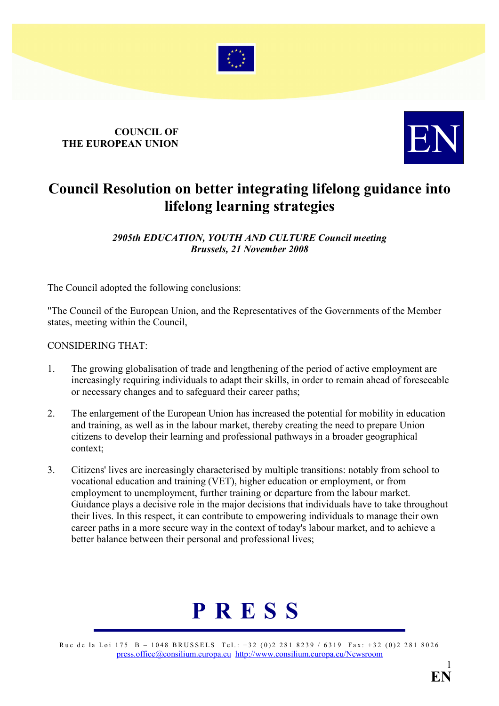

## **COUNCIL OF** COUNCIL OF THE EUROPEAN UNION



### Council Resolution on better integrating lifelong guidance into lifelong learning strategies

2905th EDUCATION, YOUTH AND CULTURE Council meeting Brussels, 21 November 2008

The Council adopted the following conclusions:

"The Council of the European Union, and the Representatives of the Governments of the Member states, meeting within the Council,

#### CONSIDERING THAT:

- 1. The growing globalisation of trade and lengthening of the period of active employment are increasingly requiring individuals to adapt their skills, in order to remain ahead of foreseeable or necessary changes and to safeguard their career paths;
- 2. The enlargement of the European Union has increased the potential for mobility in education and training, as well as in the labour market, thereby creating the need to prepare Union citizens to develop their learning and professional pathways in a broader geographical context;
- 3. Citizens' lives are increasingly characterised by multiple transitions: notably from school to vocational education and training (VET), higher education or employment, or from employment to unemployment, further training or departure from the labour market. Guidance plays a decisive role in the major decisions that individuals have to take throughout their lives. In this respect, it can contribute to empowering individuals to manage their own career paths in a more secure way in the context of today's labour market, and to achieve a better balance between their personal and professional lives;

# P R E S S

Rue de la Loi 175 B – 1048 BRUSSELS Tel.: +32 (0)2 281 8239 / 6319 Fax: +32 (0)2 281 8026 [press.office@consilium.europa.eu](mailto:press.office@consilium.eu.int) [http://www.consilium.europa.eu/Newsroom](http://ue.eu.int/Newsroom)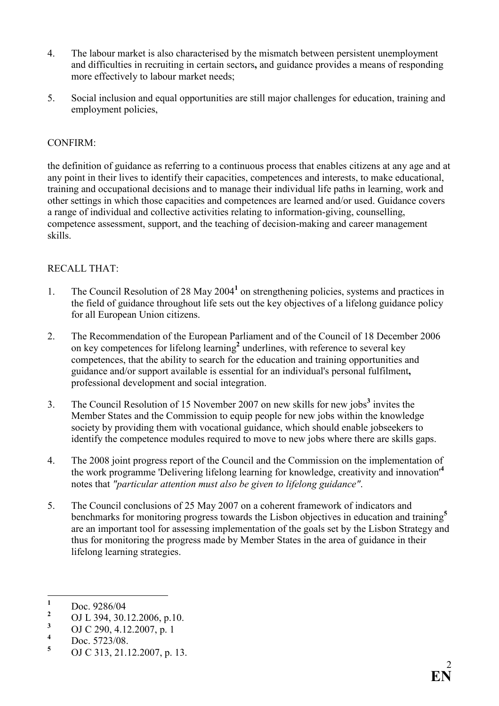- 4. The labour market is also characterised by the mismatch between persistent unemployment and difficulties in recruiting in certain sectors, and guidance provides a means of responding more effectively to labour market needs;
- 5. Social inclusion and equal opportunities are still major challenges for education, training and employment policies,

#### CONFIRM:

the definition of guidance as referring to a continuous process that enables citizens at any age and at any point in their lives to identify their capacities, competences and interests, to make educational, training and occupational decisions and to manage their individual life paths in learning, work and other settings in which those capacities and competences are learned and/or used. Guidance covers a range of individual and collective activities relating to information-giving, counselling, competence assessment, support, and the teaching of decision-making and career management skills.

#### RECALL THAT:

- 1. The Council Resolution of 28 May 2004<sup>1</sup> on strengthening policies, systems and practices in the field of guidance throughout life sets out the key objectives of a lifelong guidance policy for all European Union citizens.
- 2. The Recommendation of the European Parliament and of the Council of 18 December 2006 on key competences for lifelong learning<sup>2</sup> underlines, with reference to several key competences, that the ability to search for the education and training opportunities and guidance and/or support available is essential for an individual's personal fulfilment, professional development and social integration.
- 3. The Council Resolution of 15 November 2007 on new skills for new jobs<sup>3</sup> invites the Member States and the Commission to equip people for new jobs within the knowledge society by providing them with vocational guidance, which should enable jobseekers to identify the competence modules required to move to new jobs where there are skills gaps.
- 4. The 2008 joint progress report of the Council and the Commission on the implementation of the work programme 'Delivering lifelong learning for knowledge, creativity and innovation'<sup>4</sup> notes that "particular attention must also be given to lifelong guidance".
- 5. The Council conclusions of 25 May 2007 on a coherent framework of indicators and benchmarks for monitoring progress towards the Lisbon objectives in education and training<sup>5</sup> are an important tool for assessing implementation of the goals set by the Lisbon Strategy and thus for monitoring the progress made by Member States in the area of guidance in their lifelong learning strategies.

 $\frac{1}{1}$ Doc. 9286/04

<sup>2</sup> OJ L 394, 30.12.2006, p.10.

<sup>3</sup> OJ C 290, 4.12.2007, p. 1

<sup>4</sup> Doc. 5723/08.

<sup>5</sup> OJ C 313, 21.12.2007, p. 13.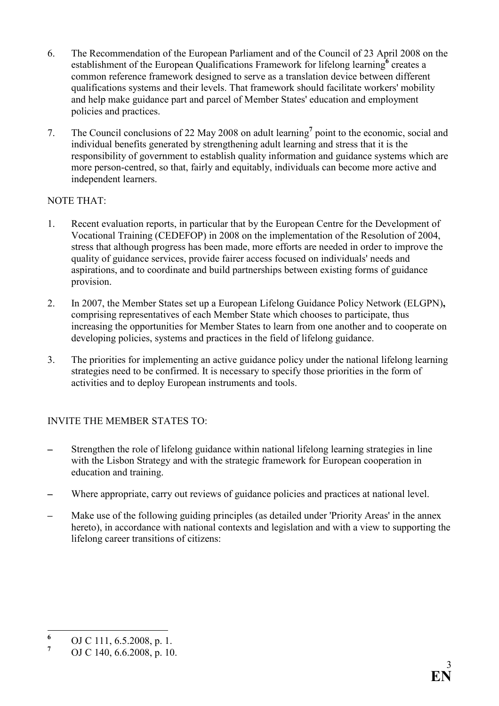- 6. The Recommendation of the European Parliament and of the Council of 23 April 2008 on the establishment of the European Qualifications Framework for lifelong learning<sup>6</sup> creates a common reference framework designed to serve as a translation device between different qualifications systems and their levels. That framework should facilitate workers' mobility and help make guidance part and parcel of Member States' education and employment policies and practices.
- 7. The Council conclusions of 22 May 2008 on adult learning<sup>7</sup> point to the economic, social and individual benefits generated by strengthening adult learning and stress that it is the responsibility of government to establish quality information and guidance systems which are more person-centred, so that, fairly and equitably, individuals can become more active and independent learners.

#### NOTE THAT:

- 1. Recent evaluation reports, in particular that by the European Centre for the Development of Vocational Training (CEDEFOP) in 2008 on the implementation of the Resolution of 2004, stress that although progress has been made, more efforts are needed in order to improve the quality of guidance services, provide fairer access focused on individuals' needs and aspirations, and to coordinate and build partnerships between existing forms of guidance provision.
- 2. In 2007, the Member States set up a European Lifelong Guidance Policy Network (ELGPN), comprising representatives of each Member State which chooses to participate, thus increasing the opportunities for Member States to learn from one another and to cooperate on developing policies, systems and practices in the field of lifelong guidance.
- 3. The priorities for implementing an active guidance policy under the national lifelong learning strategies need to be confirmed. It is necessary to specify those priorities in the form of activities and to deploy European instruments and tools.

#### INVITE THE MEMBER STATES TO:

- Strengthen the role of lifelong guidance within national lifelong learning strategies in line with the Lisbon Strategy and with the strategic framework for European cooperation in education and training.
- Where appropriate, carry out reviews of guidance policies and practices at national level.
- Make use of the following guiding principles (as detailed under 'Priority Areas' in the annex hereto), in accordance with national contexts and legislation and with a view to supporting the lifelong career transitions of citizens:

 6 OJ C 111, 6.5.2008, p. 1.

<sup>7</sup> OJ C 140, 6.6.2008, p. 10.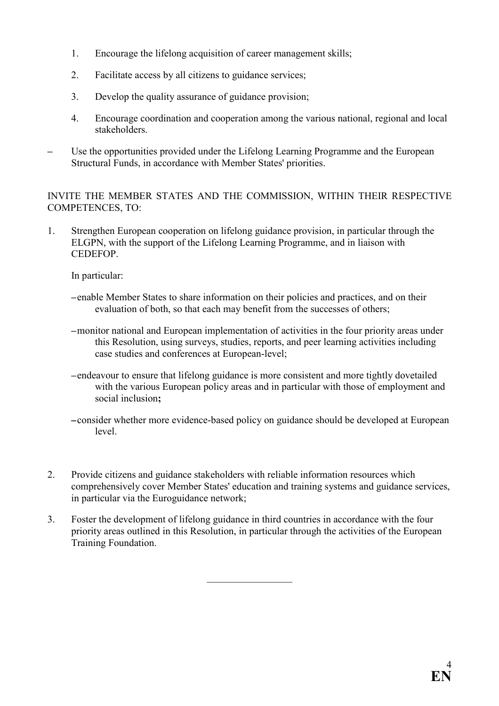- 1. Encourage the lifelong acquisition of career management skills;
- 2. Facilitate access by all citizens to guidance services;
- 3. Develop the quality assurance of guidance provision;
- 4. Encourage coordination and cooperation among the various national, regional and local stakeholders.
- Use the opportunities provided under the Lifelong Learning Programme and the European Structural Funds, in accordance with Member States' priorities.

#### INVITE THE MEMBER STATES AND THE COMMISSION, WITHIN THEIR RESPECTIVE COMPETENCES, TO:

1. Strengthen European cooperation on lifelong guidance provision, in particular through the ELGPN, with the support of the Lifelong Learning Programme, and in liaison with CEDEFOP.

In particular:

- –enable Member States to share information on their policies and practices, and on their evaluation of both, so that each may benefit from the successes of others;
- –monitor national and European implementation of activities in the four priority areas under this Resolution, using surveys, studies, reports, and peer learning activities including case studies and conferences at European-level;
- –endeavour to ensure that lifelong guidance is more consistent and more tightly dovetailed with the various European policy areas and in particular with those of employment and social inclusion;
- –consider whether more evidence-based policy on guidance should be developed at European level.
- 2. Provide citizens and guidance stakeholders with reliable information resources which comprehensively cover Member States' education and training systems and guidance services, in particular via the Euroguidance network;
- 3. Foster the development of lifelong guidance in third countries in accordance with the four priority areas outlined in this Resolution, in particular through the activities of the European Training Foundation.

 $\_$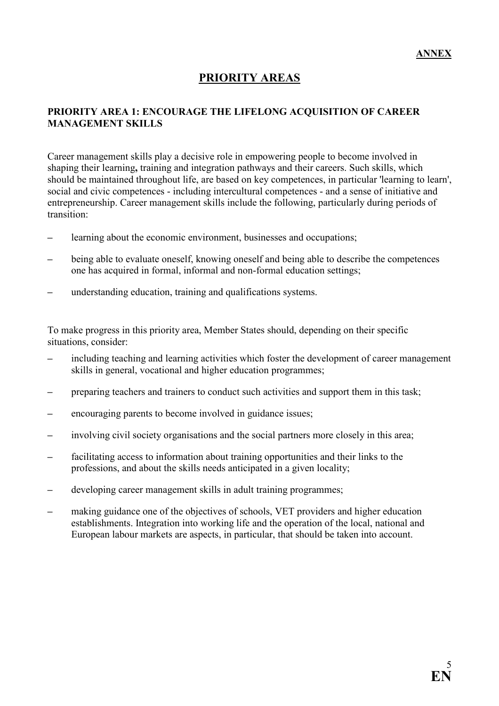#### PRIORITY AREAS

#### PRIORITY AREA 1: ENCOURAGE THE LIFELONG ACQUISITION OF CAREER MANAGEMENT SKILLS

Career management skills play a decisive role in empowering people to become involved in shaping their learning, training and integration pathways and their careers. Such skills, which should be maintained throughout life, are based on key competences, in particular 'learning to learn', social and civic competences - including intercultural competences - and a sense of initiative and entrepreneurship. Career management skills include the following, particularly during periods of transition:

- learning about the economic environment, businesses and occupations;
- being able to evaluate oneself, knowing oneself and being able to describe the competences one has acquired in formal, informal and non-formal education settings;
- understanding education, training and qualifications systems.

To make progress in this priority area, Member States should, depending on their specific situations, consider:

- including teaching and learning activities which foster the development of career management skills in general, vocational and higher education programmes;
- preparing teachers and trainers to conduct such activities and support them in this task;
- encouraging parents to become involved in guidance issues;
- involving civil society organisations and the social partners more closely in this area;
- facilitating access to information about training opportunities and their links to the professions, and about the skills needs anticipated in a given locality;
- developing career management skills in adult training programmes;
- making guidance one of the objectives of schools, VET providers and higher education establishments. Integration into working life and the operation of the local, national and European labour markets are aspects, in particular, that should be taken into account.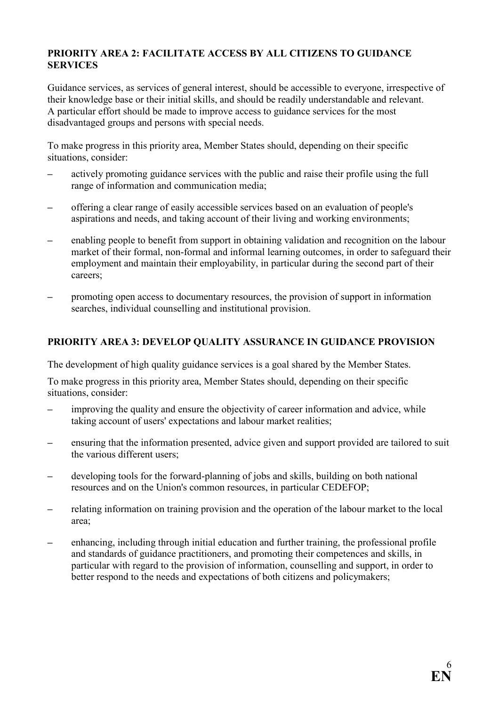#### PRIORITY AREA 2: FACILITATE ACCESS BY ALL CITIZENS TO GUIDANCE SERVICES

Guidance services, as services of general interest, should be accessible to everyone, irrespective of their knowledge base or their initial skills, and should be readily understandable and relevant. A particular effort should be made to improve access to guidance services for the most disadvantaged groups and persons with special needs.

To make progress in this priority area, Member States should, depending on their specific situations, consider:

- actively promoting guidance services with the public and raise their profile using the full range of information and communication media;
- offering a clear range of easily accessible services based on an evaluation of people's aspirations and needs, and taking account of their living and working environments;
- enabling people to benefit from support in obtaining validation and recognition on the labour market of their formal, non-formal and informal learning outcomes, in order to safeguard their employment and maintain their employability, in particular during the second part of their careers;
- promoting open access to documentary resources, the provision of support in information searches, individual counselling and institutional provision.

#### PRIORITY AREA 3: DEVELOP QUALITY ASSURANCE IN GUIDANCE PROVISION

The development of high quality guidance services is a goal shared by the Member States.

To make progress in this priority area, Member States should, depending on their specific situations, consider:

- improving the quality and ensure the objectivity of career information and advice, while taking account of users' expectations and labour market realities;
- ensuring that the information presented, advice given and support provided are tailored to suit the various different users;
- developing tools for the forward-planning of jobs and skills, building on both national resources and on the Union's common resources, in particular CEDEFOP;
- relating information on training provision and the operation of the labour market to the local area;
- enhancing, including through initial education and further training, the professional profile and standards of guidance practitioners, and promoting their competences and skills, in particular with regard to the provision of information, counselling and support, in order to better respond to the needs and expectations of both citizens and policymakers;